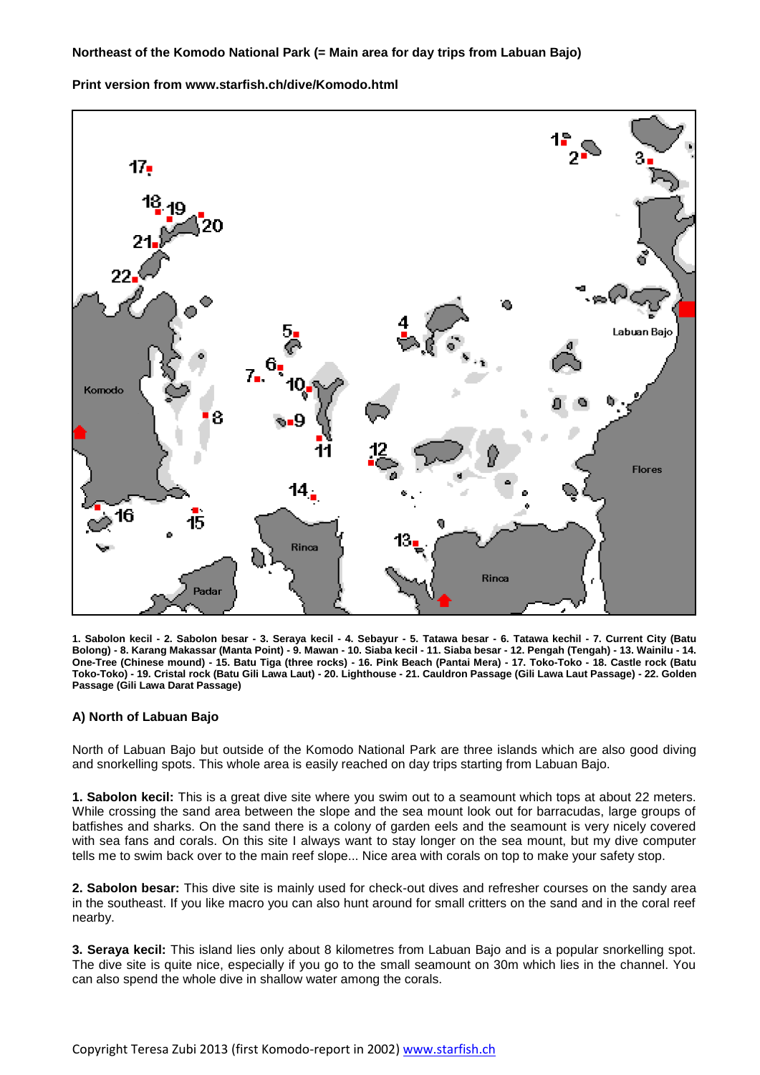**Print version from www.starfish.ch/dive/Komodo.html**



**1. Sabolon kecil - 2. Sabolon besar - 3. Seraya kecil - 4. Sebayur - 5. Tatawa besar - 6. Tatawa kechil - 7. Current City (Batu Bolong) - 8. Karang Makassar (Manta Point) - 9. Mawan - 10. Siaba kecil - 11. Siaba besar - 12. Pengah (Tengah) - 13. Wainilu - 14. One-Tree (Chinese mound) - 15. Batu Tiga (three rocks) - 16. Pink Beach (Pantai Mera) - 17. Toko-Toko - 18. Castle rock (Batu Toko-Toko) - 19. Cristal rock (Batu Gili Lawa Laut) - 20. Lighthouse - 21. Cauldron Passage (Gili Lawa Laut Passage) - 22. Golden Passage (Gili Lawa Darat Passage)** 

## **A) North of Labuan Bajo**

North of Labuan Bajo but outside of the Komodo National Park are three islands which are also good diving and snorkelling spots. This whole area is easily reached on day trips starting from Labuan Bajo.

**1. Sabolon kecil:** This is a great dive site where you swim out to a seamount which tops at about 22 meters. While crossing the sand area between the slope and the sea mount look out for barracudas, large groups of batfishes and sharks. On the sand there is a colony of garden eels and the seamount is very nicely covered with sea fans and corals. On this site I always want to stay longer on the sea mount, but my dive computer tells me to swim back over to the main reef slope... Nice area with corals on top to make your safety stop.

**2. Sabolon besar:** This dive site is mainly used for check-out dives and refresher courses on the sandy area in the southeast. If you like macro you can also hunt around for small critters on the sand and in the coral reef nearby.

**3. Seraya kecil:** This island lies only about 8 kilometres from Labuan Bajo and is a popular snorkelling spot. The dive site is quite nice, especially if you go to the small seamount on 30m which lies in the channel. You can also spend the whole dive in shallow water among the corals.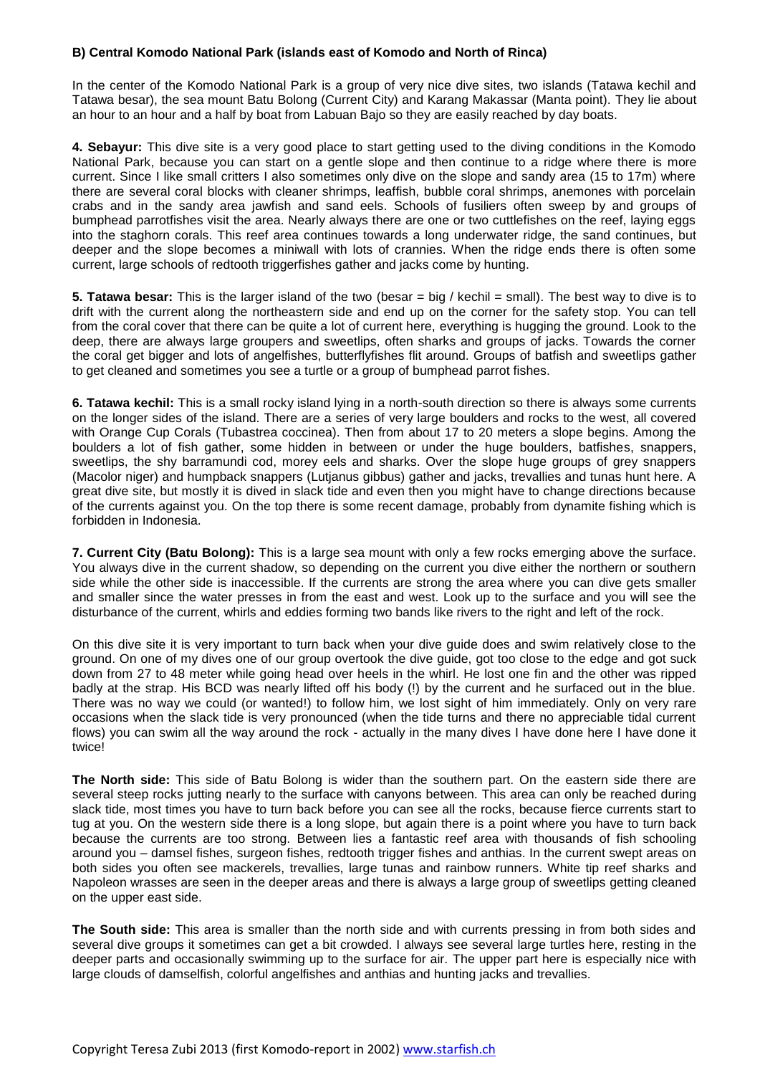## **B) Central Komodo National Park (islands east of Komodo and North of Rinca)**

In the center of the Komodo National Park is a group of very nice dive sites, two islands (Tatawa kechil and Tatawa besar), the sea mount Batu Bolong (Current City) and Karang Makassar (Manta point). They lie about an hour to an hour and a half by boat from Labuan Bajo so they are easily reached by day boats.

**4. Sebayur:** This dive site is a very good place to start getting used to the diving conditions in the Komodo National Park, because you can start on a gentle slope and then continue to a ridge where there is more current. Since I like small critters I also sometimes only dive on the slope and sandy area (15 to 17m) where there are several coral blocks with cleaner shrimps, leaffish, bubble coral shrimps, anemones with porcelain crabs and in the sandy area jawfish and sand eels. Schools of fusiliers often sweep by and groups of bumphead parrotfishes visit the area. Nearly always there are one or two cuttlefishes on the reef, laying eggs into the staghorn corals. This reef area continues towards a long underwater ridge, the sand continues, but deeper and the slope becomes a miniwall with lots of crannies. When the ridge ends there is often some current, large schools of redtooth triggerfishes gather and jacks come by hunting.

**5. Tatawa besar:** This is the larger island of the two (besar = big / kechil = small). The best way to dive is to drift with the current along the northeastern side and end up on the corner for the safety stop. You can tell from the coral cover that there can be quite a lot of current here, everything is hugging the ground. Look to the deep, there are always large groupers and sweetlips, often sharks and groups of jacks. Towards the corner the coral get bigger and lots of angelfishes, butterflyfishes flit around. Groups of batfish and sweetlips gather to get cleaned and sometimes you see a turtle or a group of bumphead parrot fishes.

**6. Tatawa kechil:** This is a small rocky island lying in a north-south direction so there is always some currents on the longer sides of the island. There are a series of very large boulders and rocks to the west, all covered with Orange Cup Corals (Tubastrea coccinea). Then from about 17 to 20 meters a slope begins. Among the boulders a lot of fish gather, some hidden in between or under the huge boulders, batfishes, snappers, sweetlips, the shy barramundi cod, morey eels and sharks. Over the slope huge groups of grey snappers (Macolor niger) and humpback snappers (Lutjanus gibbus) gather and jacks, trevallies and tunas hunt here. A great dive site, but mostly it is dived in slack tide and even then you might have to change directions because of the currents against you. On the top there is some recent damage, probably from dynamite fishing which is forbidden in Indonesia.

**7. Current City (Batu Bolong):** This is a large sea mount with only a few rocks emerging above the surface. You always dive in the current shadow, so depending on the current you dive either the northern or southern side while the other side is inaccessible. If the currents are strong the area where you can dive gets smaller and smaller since the water presses in from the east and west. Look up to the surface and you will see the disturbance of the current, whirls and eddies forming two bands like rivers to the right and left of the rock.

On this dive site it is very important to turn back when your dive guide does and swim relatively close to the ground. On one of my dives one of our group overtook the dive guide, got too close to the edge and got suck down from 27 to 48 meter while going head over heels in the whirl. He lost one fin and the other was ripped badly at the strap. His BCD was nearly lifted off his body (!) by the current and he surfaced out in the blue. There was no way we could (or wanted!) to follow him, we lost sight of him immediately. Only on very rare occasions when the slack tide is very pronounced (when the tide turns and there no appreciable tidal current flows) you can swim all the way around the rock - actually in the many dives I have done here I have done it twice!

**The North side:** This side of Batu Bolong is wider than the southern part. On the eastern side there are several steep rocks jutting nearly to the surface with canyons between. This area can only be reached during slack tide, most times you have to turn back before you can see all the rocks, because fierce currents start to tug at you. On the western side there is a long slope, but again there is a point where you have to turn back because the currents are too strong. Between lies a fantastic reef area with thousands of fish schooling around you – damsel fishes, surgeon fishes, redtooth trigger fishes and anthias. In the current swept areas on both sides you often see mackerels, trevallies, large tunas and rainbow runners. White tip reef sharks and Napoleon wrasses are seen in the deeper areas and there is always a large group of sweetlips getting cleaned on the upper east side.

**The South side:** This area is smaller than the north side and with currents pressing in from both sides and several dive groups it sometimes can get a bit crowded. I always see several large turtles here, resting in the deeper parts and occasionally swimming up to the surface for air. The upper part here is especially nice with large clouds of damselfish, colorful angelfishes and anthias and hunting jacks and trevallies.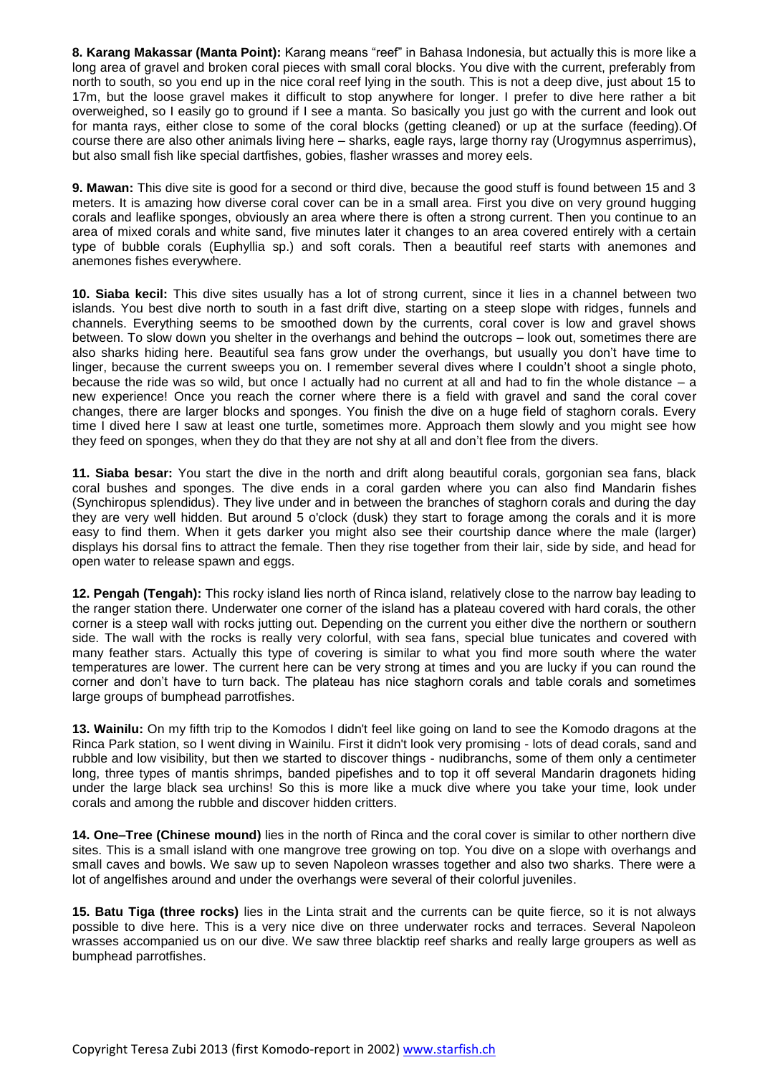**8. Karang Makassar (Manta Point):** Karang means "reef" in Bahasa Indonesia, but actually this is more like a long area of gravel and broken coral pieces with small coral blocks. You dive with the current, preferably from north to south, so you end up in the nice coral reef lying in the south. This is not a deep dive, just about 15 to 17m, but the loose gravel makes it difficult to stop anywhere for longer. I prefer to dive here rather a bit overweighed, so I easily go to ground if I see a manta. So basically you just go with the current and look out for manta rays, either close to some of the coral blocks (getting cleaned) or up at the surface (feeding).Of course there are also other animals living here – sharks, eagle rays, large thorny ray (Urogymnus asperrimus), but also small fish like special dartfishes, gobies, flasher wrasses and morey eels.

**9. Mawan:** This dive site is good for a second or third dive, because the good stuff is found between 15 and 3 meters. It is amazing how diverse coral cover can be in a small area. First you dive on very ground hugging corals and leaflike sponges, obviously an area where there is often a strong current. Then you continue to an area of mixed corals and white sand, five minutes later it changes to an area covered entirely with a certain type of bubble corals (Euphyllia sp.) and soft corals. Then a beautiful reef starts with anemones and anemones fishes everywhere.

**10. Siaba kecil:** This dive sites usually has a lot of strong current, since it lies in a channel between two islands. You best dive north to south in a fast drift dive, starting on a steep slope with ridges, funnels and channels. Everything seems to be smoothed down by the currents, coral cover is low and gravel shows between. To slow down you shelter in the overhangs and behind the outcrops – look out, sometimes there are also sharks hiding here. Beautiful sea fans grow under the overhangs, but usually you don't have time to linger, because the current sweeps you on. I remember several dives where I couldn't shoot a single photo, because the ride was so wild, but once I actually had no current at all and had to fin the whole distance – a new experience! Once you reach the corner where there is a field with gravel and sand the coral cover changes, there are larger blocks and sponges. You finish the dive on a huge field of staghorn corals. Every time I dived here I saw at least one turtle, sometimes more. Approach them slowly and you might see how they feed on sponges, when they do that they are not shy at all and don't flee from the divers.

**11. Siaba besar:** You start the dive in the north and drift along beautiful corals, gorgonian sea fans, black coral bushes and sponges. The dive ends in a coral garden where you can also find Mandarin fishes (Synchiropus splendidus). They live under and in between the branches of staghorn corals and during the day they are very well hidden. But around 5 o'clock (dusk) they start to forage among the corals and it is more easy to find them. When it gets darker you might also see their courtship dance where the male (larger) displays his dorsal fins to attract the female. Then they rise together from their lair, side by side, and head for open water to release spawn and eggs.

**12. Pengah (Tengah):** This rocky island lies north of Rinca island, relatively close to the narrow bay leading to the ranger station there. Underwater one corner of the island has a plateau covered with hard corals, the other corner is a steep wall with rocks jutting out. Depending on the current you either dive the northern or southern side. The wall with the rocks is really very colorful, with sea fans, special blue tunicates and covered with many feather stars. Actually this type of covering is similar to what you find more south where the water temperatures are lower. The current here can be very strong at times and you are lucky if you can round the corner and don't have to turn back. The plateau has nice staghorn corals and table corals and sometimes large groups of bumphead parrotfishes.

**13. Wainilu:** On my fifth trip to the Komodos I didn't feel like going on land to see the Komodo dragons at the Rinca Park station, so I went diving in Wainilu. First it didn't look very promising - lots of dead corals, sand and rubble and low visibility, but then we started to discover things - nudibranchs, some of them only a centimeter long, three types of mantis shrimps, banded pipefishes and to top it off several Mandarin dragonets hiding under the large black sea urchins! So this is more like a muck dive where you take your time, look under corals and among the rubble and discover hidden critters.

**14. One–Tree (Chinese mound)** lies in the north of Rinca and the coral cover is similar to other northern dive sites. This is a small island with one mangrove tree growing on top. You dive on a slope with overhangs and small caves and bowls. We saw up to seven Napoleon wrasses together and also two sharks. There were a lot of angelfishes around and under the overhangs were several of their colorful juveniles.

**15. Batu Tiga (three rocks)** lies in the Linta strait and the currents can be quite fierce, so it is not always possible to dive here. This is a very nice dive on three underwater rocks and terraces. Several Napoleon wrasses accompanied us on our dive. We saw three blacktip reef sharks and really large groupers as well as bumphead parrotfishes.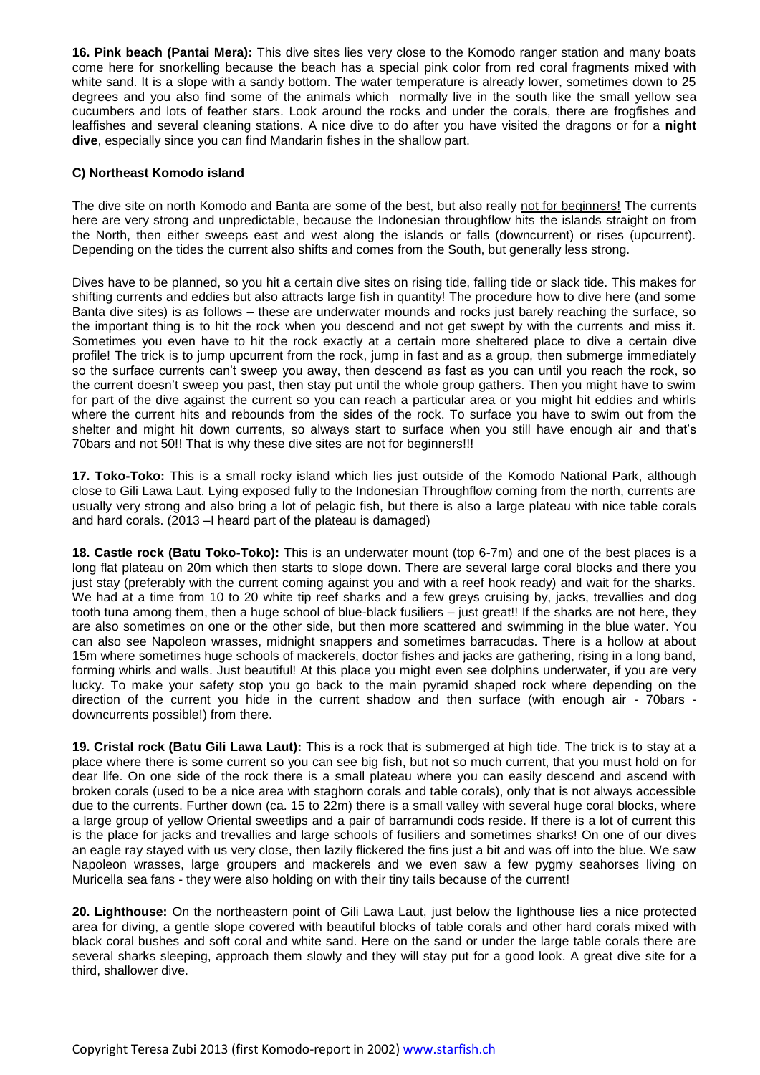**16. Pink beach (Pantai Mera):** This dive sites lies very close to the Komodo ranger station and many boats come here for snorkelling because the beach has a special pink color from red coral fragments mixed with white sand. It is a slope with a sandy bottom. The water temperature is already lower, sometimes down to 25 degrees and you also find some of the animals which normally live in the south like the small yellow sea cucumbers and lots of feather stars. Look around the rocks and under the corals, there are frogfishes and leaffishes and several cleaning stations. A nice dive to do after you have visited the dragons or for a **night dive**, especially since you can find Mandarin fishes in the shallow part.

## **C) Northeast Komodo island**

The dive site on north Komodo and Banta are some of the best, but also really not for beginners! The currents here are very strong and unpredictable, because the Indonesian throughflow hits the islands straight on from the North, then either sweeps east and west along the islands or falls (downcurrent) or rises (upcurrent). Depending on the tides the current also shifts and comes from the South, but generally less strong.

Dives have to be planned, so you hit a certain dive sites on rising tide, falling tide or slack tide. This makes for shifting currents and eddies but also attracts large fish in quantity! The procedure how to dive here (and some Banta dive sites) is as follows – these are underwater mounds and rocks just barely reaching the surface, so the important thing is to hit the rock when you descend and not get swept by with the currents and miss it. Sometimes you even have to hit the rock exactly at a certain more sheltered place to dive a certain dive profile! The trick is to jump upcurrent from the rock, jump in fast and as a group, then submerge immediately so the surface currents can't sweep you away, then descend as fast as you can until you reach the rock, so the current doesn't sweep you past, then stay put until the whole group gathers. Then you might have to swim for part of the dive against the current so you can reach a particular area or you might hit eddies and whirls where the current hits and rebounds from the sides of the rock. To surface you have to swim out from the shelter and might hit down currents, so always start to surface when you still have enough air and that's 70bars and not 50!! That is why these dive sites are not for beginners!!!

**17. Toko-Toko:** This is a small rocky island which lies just outside of the Komodo National Park, although close to Gili Lawa Laut. Lying exposed fully to the Indonesian Throughflow coming from the north, currents are usually very strong and also bring a lot of pelagic fish, but there is also a large plateau with nice table corals and hard corals. (2013 –I heard part of the plateau is damaged)

**18. Castle rock (Batu Toko-Toko):** This is an underwater mount (top 6-7m) and one of the best places is a long flat plateau on 20m which then starts to slope down. There are several large coral blocks and there you just stay (preferably with the current coming against you and with a reef hook ready) and wait for the sharks. We had at a time from 10 to 20 white tip reef sharks and a few greys cruising by, jacks, trevallies and dog tooth tuna among them, then a huge school of blue-black fusiliers – just great!! If the sharks are not here, they are also sometimes on one or the other side, but then more scattered and swimming in the blue water. You can also see Napoleon wrasses, midnight snappers and sometimes barracudas. There is a hollow at about 15m where sometimes huge schools of mackerels, doctor fishes and jacks are gathering, rising in a long band, forming whirls and walls. Just beautiful! At this place you might even see dolphins underwater, if you are very lucky. To make your safety stop you go back to the main pyramid shaped rock where depending on the direction of the current you hide in the current shadow and then surface (with enough air - 70bars downcurrents possible!) from there.

**19. Cristal rock (Batu Gili Lawa Laut):** This is a rock that is submerged at high tide. The trick is to stay at a place where there is some current so you can see big fish, but not so much current, that you must hold on for dear life. On one side of the rock there is a small plateau where you can easily descend and ascend with broken corals (used to be a nice area with staghorn corals and table corals), only that is not always accessible due to the currents. Further down (ca. 15 to 22m) there is a small valley with several huge coral blocks, where a large group of yellow Oriental sweetlips and a pair of barramundi cods reside. If there is a lot of current this is the place for jacks and trevallies and large schools of fusiliers and sometimes sharks! On one of our dives an eagle ray stayed with us very close, then lazily flickered the fins just a bit and was off into the blue. We saw Napoleon wrasses, large groupers and mackerels and we even saw a few pygmy seahorses living on Muricella sea fans - they were also holding on with their tiny tails because of the current!

**20. Lighthouse:** On the northeastern point of Gili Lawa Laut, just below the lighthouse lies a nice protected area for diving, a gentle slope covered with beautiful blocks of table corals and other hard corals mixed with black coral bushes and soft coral and white sand. Here on the sand or under the large table corals there are several sharks sleeping, approach them slowly and they will stay put for a good look. A great dive site for a third, shallower dive.